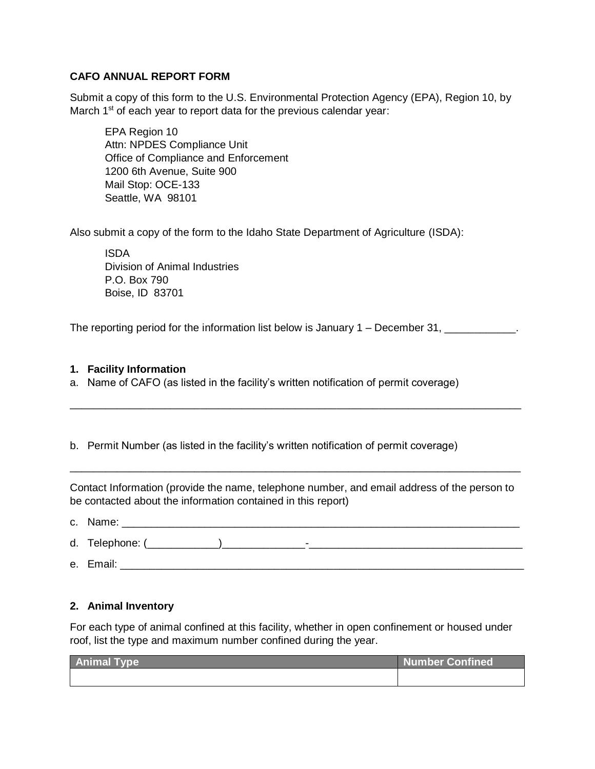## **CAFO ANNUAL REPORT FORM**

Submit a copy of this form to the U.S. Environmental Protection Agency (EPA), Region 10, by March 1<sup>st</sup> of each year to report data for the previous calendar year:

EPA Region 10 Attn: NPDES Compliance Unit Office of Compliance and Enforcement 1200 6th Avenue, Suite 900 Mail Stop: OCE-133 Seattle, WA 98101

Also submit a copy of the form to the Idaho State Department of Agriculture (ISDA):

ISDA Division of Animal Industries P.O. Box 790 Boise, ID 83701

The reporting period for the information list below is January  $1 -$  December 31,

#### **1. Facility Information**

a. Name of CAFO (as listed in the facility's written notification of permit coverage)

b. Permit Number (as listed in the facility's written notification of permit coverage)

Contact Information (provide the name, telephone number, and email address of the person to be contacted about the information contained in this report)

\_\_\_\_\_\_\_\_\_\_\_\_\_\_\_\_\_\_\_\_\_\_\_\_\_\_\_\_\_\_\_\_\_\_\_\_\_\_\_\_\_\_\_\_\_\_\_\_\_\_\_\_\_\_\_\_\_\_\_\_\_\_\_\_\_\_\_\_\_\_\_\_\_\_\_\_

\_\_\_\_\_\_\_\_\_\_\_\_\_\_\_\_\_\_\_\_\_\_\_\_\_\_\_\_\_\_\_\_\_\_\_\_\_\_\_\_\_\_\_\_\_\_\_\_\_\_\_\_\_\_\_\_\_\_\_\_\_\_\_\_\_\_\_\_\_\_\_\_\_\_\_\_

- c. Name:
- d. Telephone: (\_\_\_\_\_\_\_\_\_\_\_\_)\_\_\_\_\_\_\_\_\_\_\_\_\_\_-\_\_\_\_\_\_\_\_\_\_\_\_\_\_\_\_\_\_\_\_\_\_\_\_\_\_\_\_\_\_\_\_\_\_\_\_
- e. Email: et al. 2003. The set of all the set of all the set of all the set of all the set of all the set of all the set of all the set of all the set of all the set of all the set of all the set of all the set of all the

## **2. Animal Inventory**

For each type of animal confined at this facility, whether in open confinement or housed under roof, list the type and maximum number confined during the year.

| <b>Animal Type</b> | Number Confined |
|--------------------|-----------------|
|                    |                 |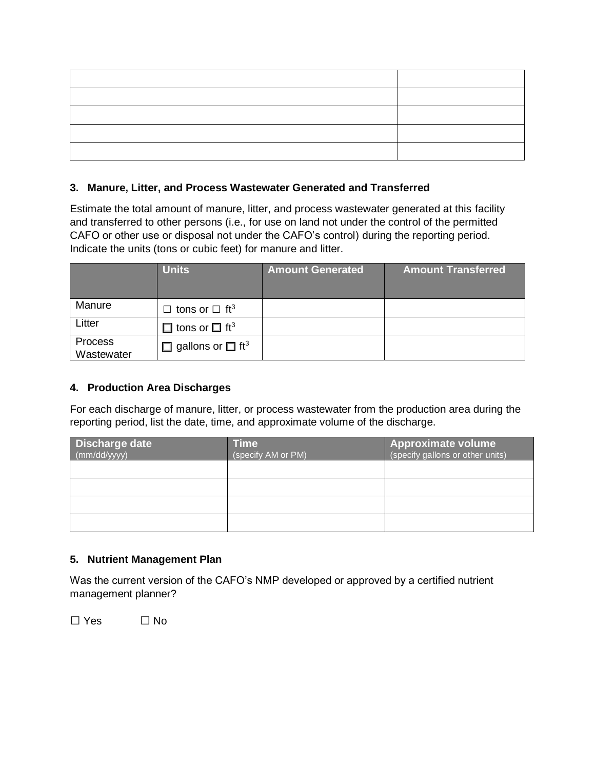### **3. Manure, Litter, and Process Wastewater Generated and Transferred**

Estimate the total amount of manure, litter, and process wastewater generated at this facility and transferred to other persons (i.e., for use on land not under the control of the permitted CAFO or other use or disposal not under the CAFO's control) during the reporting period. Indicate the units (tons or cubic feet) for manure and litter.

|                              | <b>Units</b>                             | <b>Amount Generated</b> | <b>Amount Transferred</b> |
|------------------------------|------------------------------------------|-------------------------|---------------------------|
| Manure                       | tons or $\Box$ ft <sup>3</sup><br>┑      |                         |                           |
| Litter                       | $\Box$ tons or $\Box$ ft <sup>3</sup>    |                         |                           |
| <b>Process</b><br>Wastewater | $\Box$ gallons or $\Box$ ft <sup>3</sup> |                         |                           |

## **4. Production Area Discharges**

For each discharge of manure, litter, or process wastewater from the production area during the reporting period, list the date, time, and approximate volume of the discharge.

| <b>Discharge date</b><br>$\left(\frac{\text{mm}}{\text{dd}}\right)$ yyyy) | Time<br>(specify AM or PM) | <b>Approximate volume</b><br>(specify gallons or other units) |
|---------------------------------------------------------------------------|----------------------------|---------------------------------------------------------------|
|                                                                           |                            |                                                               |
|                                                                           |                            |                                                               |
|                                                                           |                            |                                                               |
|                                                                           |                            |                                                               |

## **5. Nutrient Management Plan**

Was the current version of the CAFO's NMP developed or approved by a certified nutrient management planner?

 $\Box$  Yes  $\Box$  No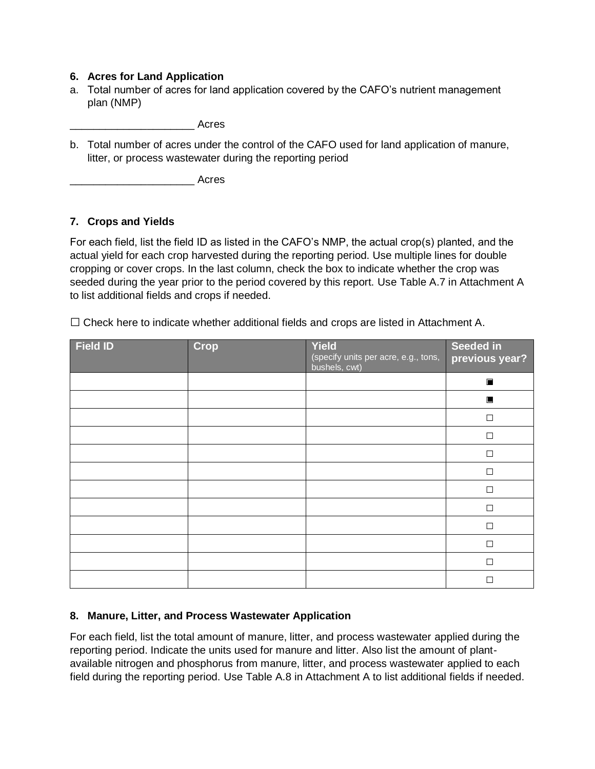## **6. Acres for Land Application**

a. Total number of acres for land application covered by the CAFO's nutrient management plan (NMP)

\_\_\_\_\_\_\_\_\_\_\_\_\_\_\_\_\_\_\_\_\_ Acres

b. Total number of acres under the control of the CAFO used for land application of manure, litter, or process wastewater during the reporting period

\_\_\_\_\_\_\_\_\_\_\_\_\_\_\_\_\_\_\_\_\_ Acres

## **7. Crops and Yields**

For each field, list the field ID as listed in the CAFO's NMP, the actual crop(s) planted, and the actual yield for each crop harvested during the reporting period. Use multiple lines for double cropping or cover crops. In the last column, check the box to indicate whether the crop was seeded during the year prior to the period covered by this report. Use Table A.7 in Attachment A to list additional fields and crops if needed.

 $\square$  Check here to indicate whether additional fields and crops are listed in Attachment A.

| <b>Field ID</b> | <b>Crop</b> | Yield<br>(specify units per acre, e.g., tons,<br>bushels, cwt) | Seeded in<br>previous year? |
|-----------------|-------------|----------------------------------------------------------------|-----------------------------|
|                 |             |                                                                | $\blacksquare$              |
|                 |             |                                                                | $\blacksquare$              |
|                 |             |                                                                | $\Box$                      |
|                 |             |                                                                | $\Box$                      |
|                 |             |                                                                | П                           |
|                 |             |                                                                | $\Box$                      |
|                 |             |                                                                | П                           |
|                 |             |                                                                | П                           |
|                 |             |                                                                | $\Box$                      |
|                 |             |                                                                | П                           |
|                 |             |                                                                | $\Box$                      |
|                 |             |                                                                | $\Box$                      |

## **8. Manure, Litter, and Process Wastewater Application**

For each field, list the total amount of manure, litter, and process wastewater applied during the reporting period. Indicate the units used for manure and litter. Also list the amount of plantavailable nitrogen and phosphorus from manure, litter, and process wastewater applied to each field during the reporting period. Use Table A.8 in Attachment A to list additional fields if needed.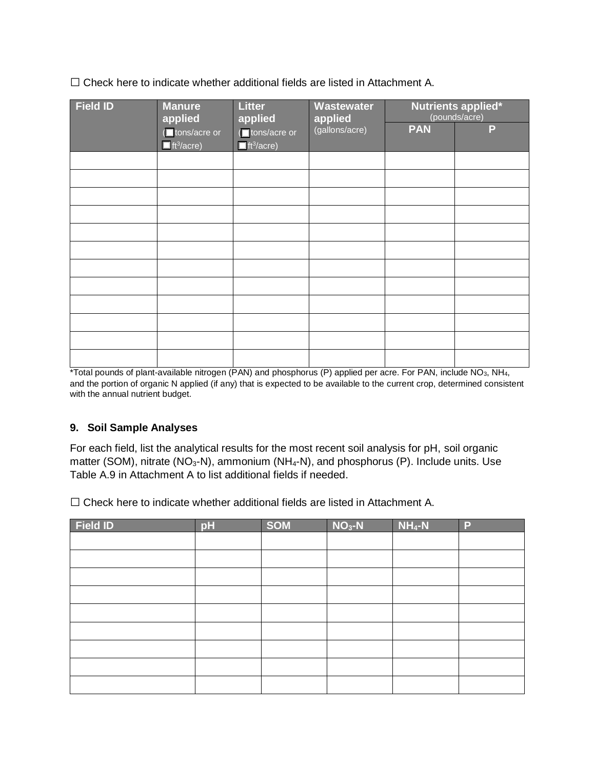$\square$  Check here to indicate whether additional fields are listed in Attachment A.

| <b>Field ID</b> | <b>Litter</b><br><b>Manure</b><br>Wastewater<br>applied<br>applied<br>applied |                                                          | Nutrients applied*<br>(pounds/acre) |            |   |
|-----------------|-------------------------------------------------------------------------------|----------------------------------------------------------|-------------------------------------|------------|---|
|                 | I tons/acre or<br>$\overline{\blacksquare}$ ft <sup>3</sup> /acre)            | (■ tons/acre or<br>$\blacksquare$ ft <sup>3</sup> /acre) | (gallons/acre)                      | <b>PAN</b> | P |
|                 |                                                                               |                                                          |                                     |            |   |
|                 |                                                                               |                                                          |                                     |            |   |
|                 |                                                                               |                                                          |                                     |            |   |
|                 |                                                                               |                                                          |                                     |            |   |
|                 |                                                                               |                                                          |                                     |            |   |
|                 |                                                                               |                                                          |                                     |            |   |
|                 |                                                                               |                                                          |                                     |            |   |
|                 |                                                                               |                                                          |                                     |            |   |
|                 |                                                                               |                                                          |                                     |            |   |
|                 |                                                                               |                                                          |                                     |            |   |
|                 |                                                                               |                                                          |                                     |            |   |
|                 |                                                                               |                                                          |                                     |            |   |

\*Total pounds of plant-available nitrogen (PAN) and phosphorus (P) applied per acre. For PAN, include NO3, NH4, and the portion of organic N applied (if any) that is expected to be available to the current crop, determined consistent with the annual nutrient budget.

## **9. Soil Sample Analyses**

For each field, list the analytical results for the most recent soil analysis for pH, soil organic matter (SOM), nitrate (NO<sub>3</sub>-N), ammonium (NH<sub>4</sub>-N), and phosphorus (P). Include units. Use Table A.9 in Attachment A to list additional fields if needed.

 $\square$  Check here to indicate whether additional fields are listed in Attachment A.

| <b>Field ID</b> | pH | <b>SOM</b> | $NO3-N$ | $NH_4-N$ | P |
|-----------------|----|------------|---------|----------|---|
|                 |    |            |         |          |   |
|                 |    |            |         |          |   |
|                 |    |            |         |          |   |
|                 |    |            |         |          |   |
|                 |    |            |         |          |   |
|                 |    |            |         |          |   |
|                 |    |            |         |          |   |
|                 |    |            |         |          |   |
|                 |    |            |         |          |   |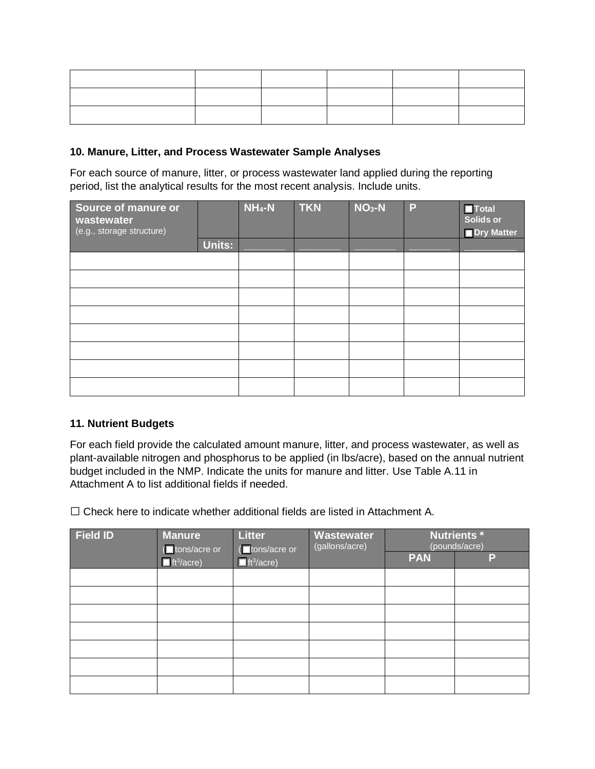## **10. Manure, Litter, and Process Wastewater Sample Analyses**

For each source of manure, litter, or process wastewater land applied during the reporting period, list the analytical results for the most recent analysis. Include units.

| Source of manure or<br>wastewater<br>(e.g., storage structure) |        | $NH_4-N$ | <b>TKN</b> | $NO3-N$ | P | $\blacksquare$ Total<br>Solids or<br><b>Dry Matter</b> |
|----------------------------------------------------------------|--------|----------|------------|---------|---|--------------------------------------------------------|
|                                                                | Units: |          |            |         |   |                                                        |
|                                                                |        |          |            |         |   |                                                        |
|                                                                |        |          |            |         |   |                                                        |
|                                                                |        |          |            |         |   |                                                        |
|                                                                |        |          |            |         |   |                                                        |
|                                                                |        |          |            |         |   |                                                        |
|                                                                |        |          |            |         |   |                                                        |
|                                                                |        |          |            |         |   |                                                        |
|                                                                |        |          |            |         |   |                                                        |

## **11. Nutrient Budgets**

For each field provide the calculated amount manure, litter, and process wastewater, as well as plant-available nitrogen and phosphorus to be applied (in lbs/acre), based on the annual nutrient budget included in the NMP. Indicate the units for manure and litter. Use Table A.11 in Attachment A to list additional fields if needed.

 $\square$  Check here to indicate whether additional fields are listed in Attachment A.

| <b>Field ID</b> | <b>Manure</b><br><b>I</b> tons/acre or | <b>Litter</b><br>(tons/acre or | Wastewater<br>(gallons/acre) |            | <b>Nutrients*</b><br>(pounds/acre) |
|-----------------|----------------------------------------|--------------------------------|------------------------------|------------|------------------------------------|
|                 | $\blacksquare$ ft <sup>3</sup> /acre)  | $\Box$ ft <sup>3</sup> /acre)  |                              | <b>PAN</b> | P                                  |
|                 |                                        |                                |                              |            |                                    |
|                 |                                        |                                |                              |            |                                    |
|                 |                                        |                                |                              |            |                                    |
|                 |                                        |                                |                              |            |                                    |
|                 |                                        |                                |                              |            |                                    |
|                 |                                        |                                |                              |            |                                    |
|                 |                                        |                                |                              |            |                                    |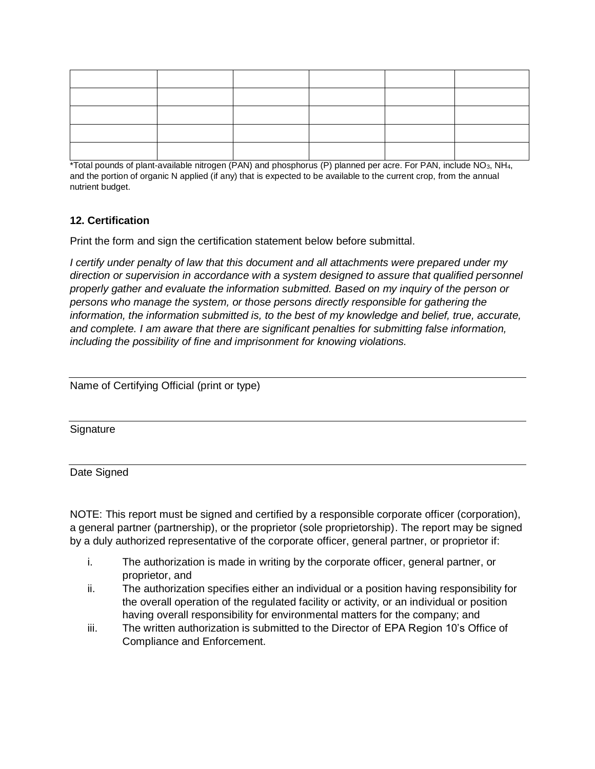\*Total pounds of plant-available nitrogen (PAN) and phosphorus (P) planned per acre. For PAN, include NO3, NH4, and the portion of organic N applied (if any) that is expected to be available to the current crop, from the annual nutrient budget.

## **12. Certification**

Print the form and sign the certification statement below before submittal.

*I certify under penalty of law that this document and all attachments were prepared under my direction or supervision in accordance with a system designed to assure that qualified personnel properly gather and evaluate the information submitted. Based on my inquiry of the person or persons who manage the system, or those persons directly responsible for gathering the information, the information submitted is, to the best of my knowledge and belief, true, accurate, and complete. I am aware that there are significant penalties for submitting false information, including the possibility of fine and imprisonment for knowing violations.*

| Name of Certifying Official (print or type) |  |  |  |
|---------------------------------------------|--|--|--|
|                                             |  |  |  |

**Signature** 

Date Signed

NOTE: This report must be signed and certified by a responsible corporate officer (corporation), a general partner (partnership), or the proprietor (sole proprietorship). The report may be signed by a duly authorized representative of the corporate officer, general partner, or proprietor if:

- i. The authorization is made in writing by the corporate officer, general partner, or proprietor, and
- ii. The authorization specifies either an individual or a position having responsibility for the overall operation of the regulated facility or activity, or an individual or position having overall responsibility for environmental matters for the company; and
- iii. The written authorization is submitted to the Director of EPA Region 10's Office of Compliance and Enforcement.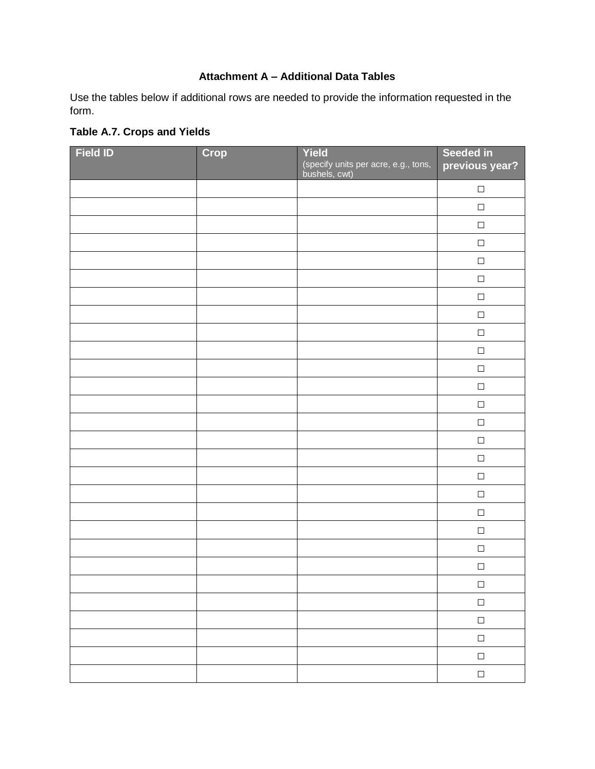## **Attachment A – Additional Data Tables**

Use the tables below if additional rows are needed to provide the information requested in the form.

| <b>Field ID</b> | Crop | Yield<br>(specify units per acre, e.g., tons,<br>bushels, cwt) | Seeded in<br>previous year? |
|-----------------|------|----------------------------------------------------------------|-----------------------------|
|                 |      |                                                                | $\Box$                      |
|                 |      |                                                                | $\Box$                      |
|                 |      |                                                                | $\Box$                      |
|                 |      |                                                                | $\Box$                      |
|                 |      |                                                                | $\Box$                      |
|                 |      |                                                                | $\Box$                      |
|                 |      |                                                                | $\Box$                      |
|                 |      |                                                                | $\Box$                      |
|                 |      |                                                                | $\Box$                      |
|                 |      |                                                                | $\Box$                      |
|                 |      |                                                                | $\Box$                      |
|                 |      |                                                                | $\Box$                      |
|                 |      |                                                                | $\Box$                      |
|                 |      |                                                                | $\Box$                      |
|                 |      |                                                                | $\Box$                      |
|                 |      |                                                                | $\Box$                      |
|                 |      |                                                                | $\Box$                      |
|                 |      |                                                                | $\Box$                      |
|                 |      |                                                                | $\Box$                      |
|                 |      |                                                                | $\Box$                      |
|                 |      |                                                                | $\Box$                      |
|                 |      |                                                                | $\Box$                      |
|                 |      |                                                                | $\Box$                      |
|                 |      |                                                                | $\Box$                      |
|                 |      |                                                                | $\Box$                      |
|                 |      |                                                                | $\Box$                      |
|                 |      |                                                                | $\Box$                      |
|                 |      |                                                                | $\Box$                      |

## **Table A.7. Crops and Yields**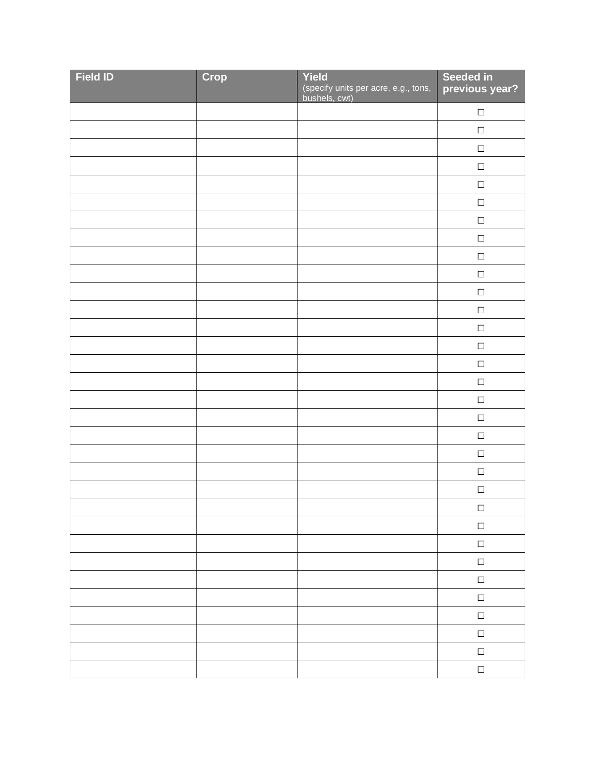| <b>Field ID</b> | Crop | Yield<br>(specify units per acre, e.g., tons,<br>bushels, cwt) | Seeded in<br>previous year? |
|-----------------|------|----------------------------------------------------------------|-----------------------------|
|                 |      |                                                                | $\Box$                      |
|                 |      |                                                                | $\Box$                      |
|                 |      |                                                                | $\Box$                      |
|                 |      |                                                                | $\Box$                      |
|                 |      |                                                                | $\Box$                      |
|                 |      |                                                                | $\Box$                      |
|                 |      |                                                                | $\Box$                      |
|                 |      |                                                                | $\Box$                      |
|                 |      |                                                                | $\Box$                      |
|                 |      |                                                                | $\Box$                      |
|                 |      |                                                                | $\Box$                      |
|                 |      |                                                                | $\Box$                      |
|                 |      |                                                                | $\Box$                      |
|                 |      |                                                                | $\Box$                      |
|                 |      |                                                                | $\Box$                      |
|                 |      |                                                                | $\Box$                      |
|                 |      |                                                                | $\Box$                      |
|                 |      |                                                                | $\Box$                      |
|                 |      |                                                                | $\Box$                      |
|                 |      |                                                                | $\Box$                      |
|                 |      |                                                                | $\Box$                      |
|                 |      |                                                                | $\Box$                      |
|                 |      |                                                                | $\Box$                      |
|                 |      |                                                                | $\Box$                      |
|                 |      |                                                                | $\Box$                      |
|                 |      |                                                                | $\Box$                      |
|                 |      |                                                                | $\Box$                      |
|                 |      |                                                                | $\Box$                      |
|                 |      |                                                                | $\Box$                      |
|                 |      |                                                                | $\Box$                      |
|                 |      |                                                                | $\Box$                      |
|                 |      |                                                                | $\Box$                      |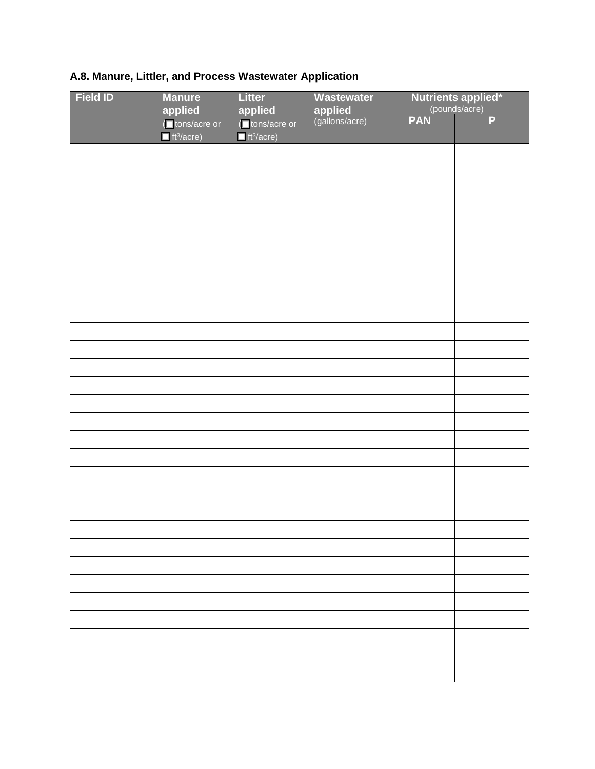# **A.8. Manure, Littler, and Process Wastewater Application**

| <b>Field ID</b> | <b>Manure</b><br>applied                                | <b>Litter</b><br>applied                                | <b>Wastewater</b>                | <b>Nutrients applied*</b><br>(pounds/acre) |   |
|-----------------|---------------------------------------------------------|---------------------------------------------------------|----------------------------------|--------------------------------------------|---|
|                 | I tons/acre or<br>$\blacksquare$ ft <sup>3</sup> /acre) | (■tons/acre or<br>$\blacksquare$ ft <sup>3</sup> /acre) | <b>applied</b><br>(gallons/acre) | <b>PAN</b>                                 | P |
|                 |                                                         |                                                         |                                  |                                            |   |
|                 |                                                         |                                                         |                                  |                                            |   |
|                 |                                                         |                                                         |                                  |                                            |   |
|                 |                                                         |                                                         |                                  |                                            |   |
|                 |                                                         |                                                         |                                  |                                            |   |
|                 |                                                         |                                                         |                                  |                                            |   |
|                 |                                                         |                                                         |                                  |                                            |   |
|                 |                                                         |                                                         |                                  |                                            |   |
|                 |                                                         |                                                         |                                  |                                            |   |
|                 |                                                         |                                                         |                                  |                                            |   |
|                 |                                                         |                                                         |                                  |                                            |   |
|                 |                                                         |                                                         |                                  |                                            |   |
|                 |                                                         |                                                         |                                  |                                            |   |
|                 |                                                         |                                                         |                                  |                                            |   |
|                 |                                                         |                                                         |                                  |                                            |   |
|                 |                                                         |                                                         |                                  |                                            |   |
|                 |                                                         |                                                         |                                  |                                            |   |
|                 |                                                         |                                                         |                                  |                                            |   |
|                 |                                                         |                                                         |                                  |                                            |   |
|                 |                                                         |                                                         |                                  |                                            |   |
|                 |                                                         |                                                         |                                  |                                            |   |
|                 |                                                         |                                                         |                                  |                                            |   |
|                 |                                                         |                                                         |                                  |                                            |   |
|                 |                                                         |                                                         |                                  |                                            |   |
|                 |                                                         |                                                         |                                  |                                            |   |
|                 |                                                         |                                                         |                                  |                                            |   |
|                 |                                                         |                                                         |                                  |                                            |   |
|                 |                                                         |                                                         |                                  |                                            |   |
|                 |                                                         |                                                         |                                  |                                            |   |
|                 |                                                         |                                                         |                                  |                                            |   |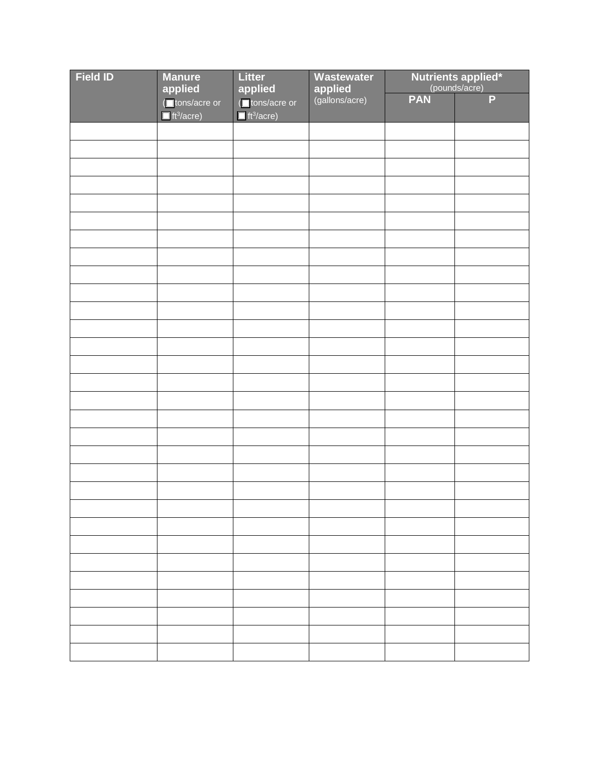| <b>Field ID</b> | <b>Manure</b><br>applied                                            | Litter<br>applied                                        | Wastewater                       | <b>Nutrients applied*</b><br>(pounds/acre) |                |
|-----------------|---------------------------------------------------------------------|----------------------------------------------------------|----------------------------------|--------------------------------------------|----------------|
|                 | (■ tons/acre or<br>$\overline{\blacksquare}$ ft <sup>3</sup> /acre) | (Intons/acre or<br>$\blacksquare$ ft <sup>3</sup> /acre) | <b>applied</b><br>(gallons/acre) | <b>PAN</b>                                 | $\overline{P}$ |
|                 |                                                                     |                                                          |                                  |                                            |                |
|                 |                                                                     |                                                          |                                  |                                            |                |
|                 |                                                                     |                                                          |                                  |                                            |                |
|                 |                                                                     |                                                          |                                  |                                            |                |
|                 |                                                                     |                                                          |                                  |                                            |                |
|                 |                                                                     |                                                          |                                  |                                            |                |
|                 |                                                                     |                                                          |                                  |                                            |                |
|                 |                                                                     |                                                          |                                  |                                            |                |
|                 |                                                                     |                                                          |                                  |                                            |                |
|                 |                                                                     |                                                          |                                  |                                            |                |
|                 |                                                                     |                                                          |                                  |                                            |                |
|                 |                                                                     |                                                          |                                  |                                            |                |
|                 |                                                                     |                                                          |                                  |                                            |                |
|                 |                                                                     |                                                          |                                  |                                            |                |
|                 |                                                                     |                                                          |                                  |                                            |                |
|                 |                                                                     |                                                          |                                  |                                            |                |
|                 |                                                                     |                                                          |                                  |                                            |                |
|                 |                                                                     |                                                          |                                  |                                            |                |
|                 |                                                                     |                                                          |                                  |                                            |                |
|                 |                                                                     |                                                          |                                  |                                            |                |
|                 |                                                                     |                                                          |                                  |                                            |                |
|                 |                                                                     |                                                          |                                  |                                            |                |
|                 |                                                                     |                                                          |                                  |                                            |                |
|                 |                                                                     |                                                          |                                  |                                            |                |
|                 |                                                                     |                                                          |                                  |                                            |                |
|                 |                                                                     |                                                          |                                  |                                            |                |
|                 |                                                                     |                                                          |                                  |                                            |                |
|                 |                                                                     |                                                          |                                  |                                            |                |
|                 |                                                                     |                                                          |                                  |                                            |                |
|                 |                                                                     |                                                          |                                  |                                            |                |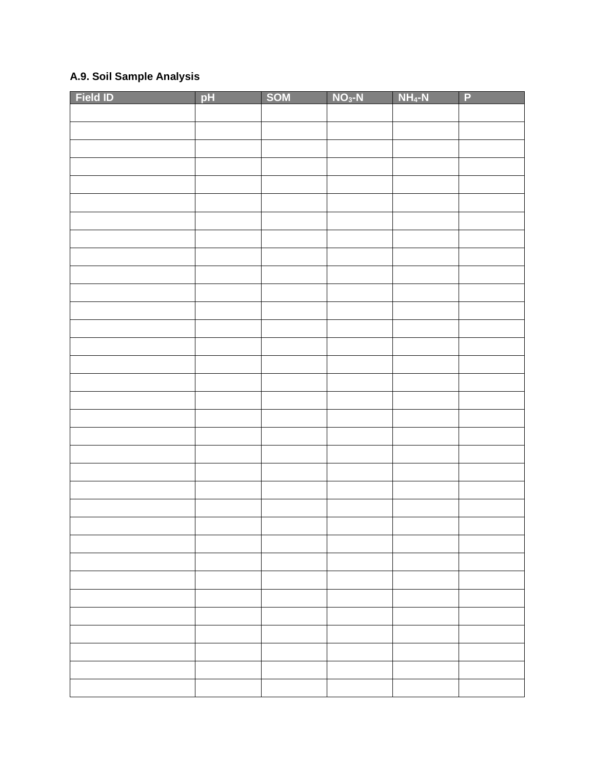## **A.9. Soil Sample Analysis**

| <b>Field ID</b> | pH | SOM | $NO3-N$ | $NH_4-N$ | $\overline{P}$ |
|-----------------|----|-----|---------|----------|----------------|
|                 |    |     |         |          |                |
|                 |    |     |         |          |                |
|                 |    |     |         |          |                |
|                 |    |     |         |          |                |
|                 |    |     |         |          |                |
|                 |    |     |         |          |                |
|                 |    |     |         |          |                |
|                 |    |     |         |          |                |
|                 |    |     |         |          |                |
|                 |    |     |         |          |                |
|                 |    |     |         |          |                |
|                 |    |     |         |          |                |
|                 |    |     |         |          |                |
|                 |    |     |         |          |                |
|                 |    |     |         |          |                |
|                 |    |     |         |          |                |
|                 |    |     |         |          |                |
|                 |    |     |         |          |                |
|                 |    |     |         |          |                |
|                 |    |     |         |          |                |
|                 |    |     |         |          |                |
|                 |    |     |         |          |                |
|                 |    |     |         |          |                |
|                 |    |     |         |          |                |
|                 |    |     |         |          |                |
|                 |    |     |         |          |                |
|                 |    |     |         |          |                |
|                 |    |     |         |          |                |
|                 |    |     |         |          |                |
|                 |    |     |         |          |                |
|                 |    |     |         |          |                |
|                 |    |     |         |          |                |
|                 |    |     |         |          |                |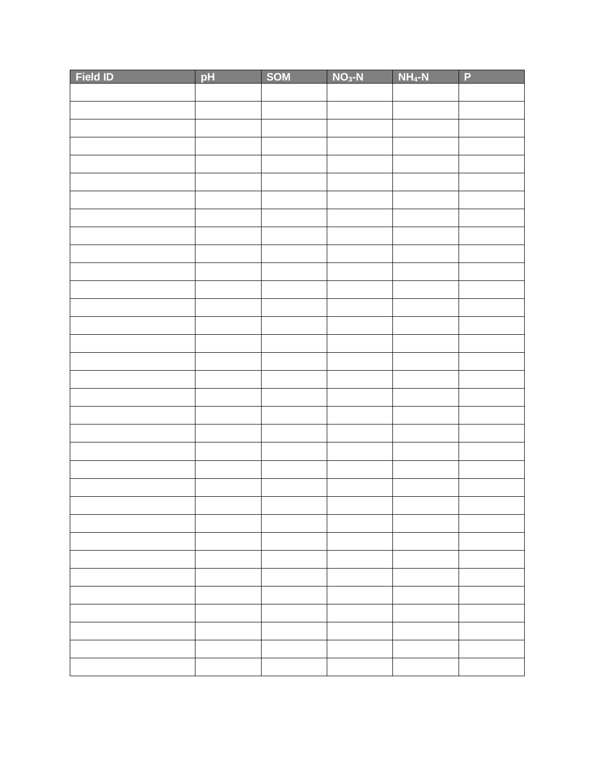| <b>Field ID</b> | pH | SOM | $NO3-N$ | $NH_4-N$ | $\overline{P}$ |
|-----------------|----|-----|---------|----------|----------------|
|                 |    |     |         |          |                |
|                 |    |     |         |          |                |
|                 |    |     |         |          |                |
|                 |    |     |         |          |                |
|                 |    |     |         |          |                |
|                 |    |     |         |          |                |
|                 |    |     |         |          |                |
|                 |    |     |         |          |                |
|                 |    |     |         |          |                |
|                 |    |     |         |          |                |
|                 |    |     |         |          |                |
|                 |    |     |         |          |                |
|                 |    |     |         |          |                |
|                 |    |     |         |          |                |
|                 |    |     |         |          |                |
|                 |    |     |         |          |                |
|                 |    |     |         |          |                |
|                 |    |     |         |          |                |
|                 |    |     |         |          |                |
|                 |    |     |         |          |                |
|                 |    |     |         |          |                |
|                 |    |     |         |          |                |
|                 |    |     |         |          |                |
|                 |    |     |         |          |                |
|                 |    |     |         |          |                |
|                 |    |     |         |          |                |
|                 |    |     |         |          |                |
|                 |    |     |         |          |                |
|                 |    |     |         |          |                |
|                 |    |     |         |          |                |
|                 |    |     |         |          |                |
|                 |    |     |         |          |                |
|                 |    |     |         |          |                |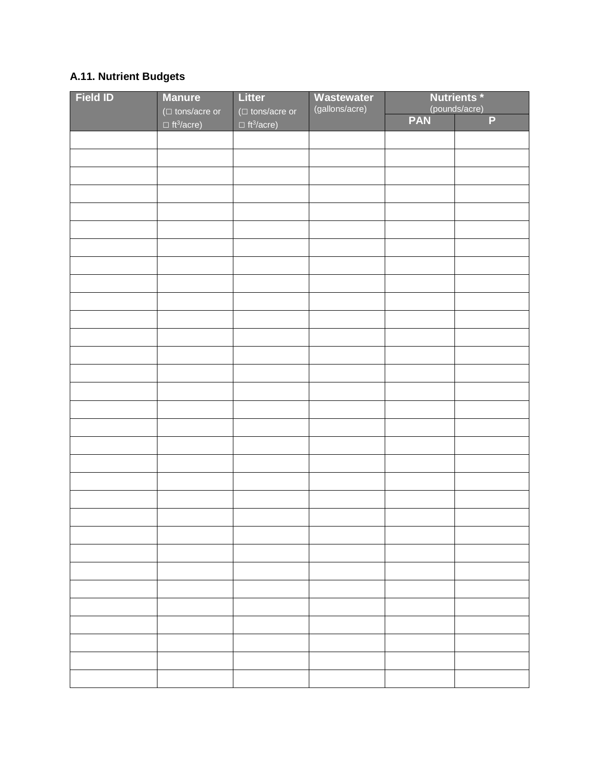# **A.11. Nutrient Budgets**

| <b>Field ID</b> | <b>Manure</b>                                          | <b>Litter</b>                                          | <b>Wastewater</b><br>(gallons/acre) | <b>Nutrients*</b><br>(pounds/acre) |                |
|-----------------|--------------------------------------------------------|--------------------------------------------------------|-------------------------------------|------------------------------------|----------------|
|                 | ( $\Box$ tons/acre or<br>$\Box$ ft <sup>3</sup> /acre) | ( $\Box$ tons/acre or<br>$\Box$ ft <sup>3</sup> /acre) |                                     | <b>PAN</b>                         | $\overline{P}$ |
|                 |                                                        |                                                        |                                     |                                    |                |
|                 |                                                        |                                                        |                                     |                                    |                |
|                 |                                                        |                                                        |                                     |                                    |                |
|                 |                                                        |                                                        |                                     |                                    |                |
|                 |                                                        |                                                        |                                     |                                    |                |
|                 |                                                        |                                                        |                                     |                                    |                |
|                 |                                                        |                                                        |                                     |                                    |                |
|                 |                                                        |                                                        |                                     |                                    |                |
|                 |                                                        |                                                        |                                     |                                    |                |
|                 |                                                        |                                                        |                                     |                                    |                |
|                 |                                                        |                                                        |                                     |                                    |                |
|                 |                                                        |                                                        |                                     |                                    |                |
|                 |                                                        |                                                        |                                     |                                    |                |
|                 |                                                        |                                                        |                                     |                                    |                |
|                 |                                                        |                                                        |                                     |                                    |                |
|                 |                                                        |                                                        |                                     |                                    |                |
|                 |                                                        |                                                        |                                     |                                    |                |
|                 |                                                        |                                                        |                                     |                                    |                |
|                 |                                                        |                                                        |                                     |                                    |                |
|                 |                                                        |                                                        |                                     |                                    |                |
|                 |                                                        |                                                        |                                     |                                    |                |
|                 |                                                        |                                                        |                                     |                                    |                |
|                 |                                                        |                                                        |                                     |                                    |                |
|                 |                                                        |                                                        |                                     |                                    |                |
|                 |                                                        |                                                        |                                     |                                    |                |
|                 |                                                        |                                                        |                                     |                                    |                |
|                 |                                                        |                                                        |                                     |                                    |                |
|                 |                                                        |                                                        |                                     |                                    |                |
|                 |                                                        |                                                        |                                     |                                    |                |
|                 |                                                        |                                                        |                                     |                                    |                |
|                 |                                                        |                                                        |                                     |                                    |                |